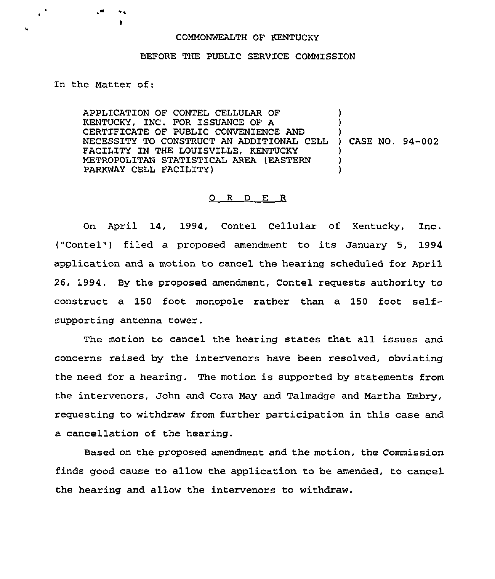## COMMONWEALTH OF KENTUCKY

## BEFORE THE PUBLIC SERVICE COMMISSION

## In the Matter of:

APPLICATION OF CONTEL CELLULAR OF KENTUCKY, INC. FOR ISSUANCE OF A CERTIFICATE OF PUBLIC CONVENIENCE AND CERTIFICATE OF POBLIC CONVENIENCE AND<br>NECESSITY TO CONSTRUCT AN ADDITIONAL CELL ) CASE NO. 94-002 FACILITY IN THE LOUISVILLE, KENTUCKY METROPOLITAN STATISTICAL AREA (EASTERN PARKWAY CELL FACILITY) ) ) ) ) )

## 0 <sup>R</sup> <sup>D</sup> E R

On April 14, 1994, Contel Cellular of Kentucky, Inc. ("Contel") filed a proposed amendment to its January 5, 1994 application and a motion to cancel the hearing scheduled for April 26, 1994. By the proposed amendment, Contel requests authority to construct a 150 foot monopole rather than a 150 foot selfsupporting antenna tower.

The motion to cancel the hearing states that all issues and concerns raised by the intervenors have been resolved, obviating the need for a hearing. The motion is supported by statements from the intervenors, John and Cora May and Talmadge and Martha Embry, requesting to withdraw from further participation in this case and a cancellation of the hearing.

Based on the proposed amendment and the motion, the Commission finds good cause to allow the application to be amended, to cancel the hearing and allow the intervenors to withdraw.